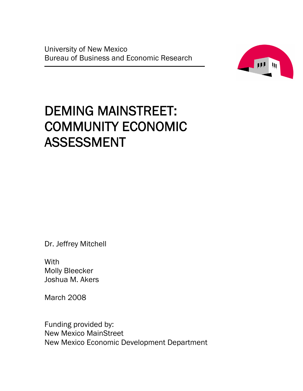University of New Mexico Bureau of Business and Economic Research



# DEMING MAINSTREET: COMMUNITY ECONOMIC ASSESSMENT

Dr. Jeffrey Mitchell

**With** Molly Bleecker Joshua M. Akers

March 2008

Funding provided by: New Mexico MainStreet New Mexico Economic Development Department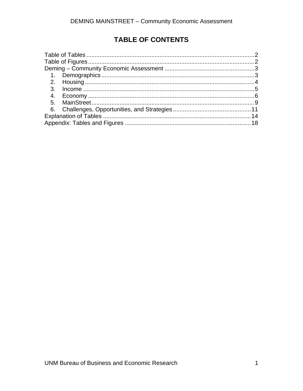# **TABLE OF CONTENTS**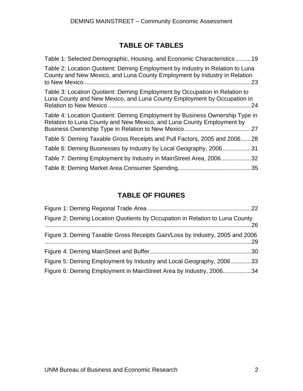# **TABLE OF TABLES**

<span id="page-3-0"></span>

| Table 1: Selected Demographic, Housing, and Economic Characteristics 19                                                                                      |
|--------------------------------------------------------------------------------------------------------------------------------------------------------------|
| Table 2: Location Quotient: Deming Employment by Industry in Relation to Luna<br>County and New Mexico, and Luna County Employment by Industry in Relation   |
| Table 3: Location Quotient: Deming Employment by Occupation in Relation to<br>Luna County and New Mexico, and Luna County Employment by Occupation in<br>.24 |
| Table 4: Location Quotient: Deming Employment by Business Ownership Type in<br>Relation to Luna County and New Mexico, and Luna County Employment by         |
| Table 5: Deming Taxable Gross Receipts and Pull Factors, 2005 and 200628                                                                                     |
| Table 6: Deming Businesses by Industry by Local Geography, 200631                                                                                            |
| Table 7: Deming Employment by Industry in MainStreet Area, 2006<br>.32                                                                                       |
|                                                                                                                                                              |

# **TABLE OF FIGURES**

| Figure 2: Deming Location Quotients by Occupation in Relation to Luna County |  |
|------------------------------------------------------------------------------|--|
| Figure 3: Deming Taxable Gross Receipts Gain/Loss by Industry, 2005 and 2006 |  |
|                                                                              |  |
| Figure 5: Deming Employment by Industry and Local Geography, 200633          |  |
| Figure 6: Deming Employment in MainStreet Area by Industry, 200634           |  |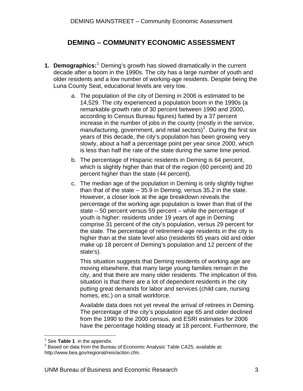# **DEMING – COMMUNITY ECONOMIC ASSESSMENT**

- <span id="page-4-0"></span>**[1](#page-4-1). Demographics:**<sup>1</sup> Deming's growth has slowed dramatically in the current decade after a boom in the 1990s. The city has a large number of youth and older residents and a low number of working-age residents. Despite being the Luna County Seat, educational levels are very low.
	- a. The population of the city of Deming in 2006 is estimated to be 14,529. The city experienced a population boom in the 1990s (a remarkable growth rate of 30 percent between 1990 and 2000, according to Census Bureau figures) fueled by a 37 percent increase in the number of jobs in the county (mostly in the service, manufacturing, government, and retail sectors)<sup>[2](#page-4-2)</sup>. During the first six years of this decade, the city's population has been growing very slowly, about a half a percentage point per year since 2000, which is less than half the rate of the state during the same time period.
	- b. The percentage of Hispanic residents in Deming is 64 percent, which is slightly higher than that of the region (60 percent) and 20 percent higher than the state (44 percent).
	- c. The median age of the population in Deming is only slightly higher than that of the state – 35.9 in Deming, versus 35.2 in the state. However, a closer look at the age breakdown reveals the percentage of the working age population is lower than that of the state – 50 percent versus 59 percent – while the percentage of youth is higher: residents under 19 years of age in Deming comprise 31 percent of the city's population, versus 29 percent for the state. The percentage of retirement-age residents in the city is higher than at the state level also (residents 65 years old and older make up 18 percent of Deming's population and 12 percent of the state's).

This situation suggests that Deming residents of working age are moving elsewhere, that many large young families remain in the city, and that there are many older residents. The implication of this situation is that there are a lot of dependent residents in the city putting great demands for labor and services (child care, nursing homes, etc.) on a small workforce.

Available data does not yet reveal the arrival of retirees in Deming. The percentage of the city's population age 65 and older declined from the 1990 to the 2000 census, and ESRI estimates for 2006 have the percentage holding steady at 18 percent. Furthermore, the

 $\overline{a}$  $<sup>1</sup>$  See Table 1 in the appendix.</sup>

<span id="page-4-2"></span><span id="page-4-1"></span><sup>&</sup>lt;sup>1</sup> See **Table 1** in the appendix.<br><sup>2</sup> Based on data from the Bureau of Economic Analysis' Table CA25, available at: http://www.bea.gov/regional/reis/action.cfm.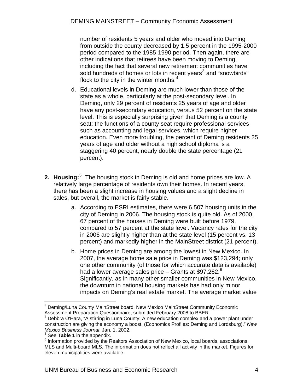<span id="page-5-0"></span>number of residents 5 years and older who moved into Deming from outside the county decreased by 1.5 percent in the 1995-2000 period compared to the 1985-1990 period. Then again, there are other indications that retirees have been moving to Deming, including the fact that several new retirement communities have sold hundreds of homes or lots in recent years<sup>[3](#page-5-1)</sup> and "snowbirds" flock to the city in the winter months. $4$ 

- d. Educational levels in Deming are much lower than those of the state as a whole, particularly at the post-secondary level. In Deming, only 29 percent of residents 25 years of age and older have any post-secondary education, versus 52 percent on the state level. This is especially surprising given that Deming is a county seat: the functions of a county seat require professional services such as accounting and legal services, which require higher education. Even more troubling, the percent of Deming residents 25 years of age and older without a high school diploma is a staggering 40 percent, nearly double the state percentage (21 percent).
- **2. Housing:**<sup>[5](#page-5-3)</sup> The housing stock in Deming is old and home prices are low. A relatively large percentage of residents own their homes. In recent years, there has been a slight increase in housing values and a slight decline in sales, but overall, the market is fairly stable.
	- a. According to ESRI estimates, there were 6,507 housing units in the city of Deming in 2006. The housing stock is quite old. As of 2000, 67 percent of the houses in Deming were built before 1979, compared to 57 percent at the state level. Vacancy rates for the city in 2006 are slightly higher than at the state level (15 percent vs. 13 percent) and markedly higher in the MainStreet district (21 percent).
	- b. Home prices in Deming are among the lowest in New Mexico. In 2007, the average home sale price in Deming was \$123,294; only one other community (of those for which accurate data is available) had a lower average sales price – Grants at \$97,2[6](#page-5-4)2. $^6$ Significantly, as in many other smaller communities in New Mexico, the downturn in national housing markets has had only minor impacts on Deming's real estate market. The average market value

 $\overline{a}$ <sup>3</sup> Deming/Luna County MainStreet board. New Mexico MainStreet Community Economic Assessment Preparation Questionnaire, submitted February 2008 to BBER. 4

Debbra O'Hara, "A stirring in Luna County: A new education complex and a power plant under construction are giving the economy a boost. (Economics Profiles: Deming and Lordsburg)." *New Mexico Business Journal*: Jan. 1, 2002.

<sup>&</sup>lt;sup>5</sup> See **Table 1** in the appendix.

<span id="page-5-4"></span><span id="page-5-3"></span><span id="page-5-2"></span><span id="page-5-1"></span><sup>&</sup>lt;sup>6</sup> Information provided by the Realtors Association of New Mexico, local boards, associations, MLS and Multi-board MLS. The information does not reflect all activity in the market. Figures for eleven municipalities were available.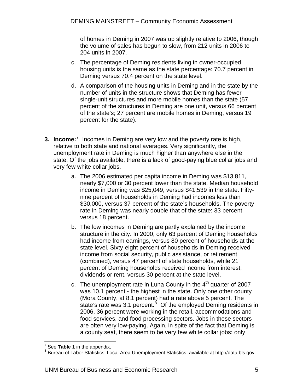<span id="page-6-0"></span>of homes in Deming in 2007 was up slightly relative to 2006, though the volume of sales has begun to slow, from 212 units in 2006 to 204 units in 2007.

- c. The percentage of Deming residents living in owner-occupied housing units is the same as the state percentage: 70.7 percent in Deming versus 70.4 percent on the state level.
- d. A comparison of the housing units in Deming and in the state by the number of units in the structure shows that Deming has fewer single-unit structures and more mobile homes than the state (57 percent of the structures in Deming are one unit, versus 66 percent of the state's; 27 percent are mobile homes in Deming, versus 19 percent for the state).
- **3. Income:**<sup>[7](#page-6-1)</sup> Incomes in Deming are very low and the poverty rate is high, relative to both state and national averages. Very significantly, the unemployment rate in Deming is much higher than anywhere else in the state. Of the jobs available, there is a lack of good-paying blue collar jobs and very few white collar jobs.
	- a. The 2006 estimated per capita income in Deming was \$13,811, nearly \$7,000 or 30 percent lower than the state. Median household income in Deming was \$25,049, versus \$41,539 in the state. Fiftynine percent of households in Deming had incomes less than \$30,000, versus 37 percent of the state's households. The poverty rate in Deming was nearly double that of the state: 33 percent versus 18 percent.
	- b. The low incomes in Deming are partly explained by the income structure in the city. In 2000, only 63 percent of Deming households had income from earnings, versus 80 percent of households at the state level. Sixty-eight percent of households in Deming received income from social security, public assistance, or retirement (combined), versus 47 percent of state households, while 21 percent of Deming households received income from interest, dividends or rent, versus 30 percent at the state level.
	- c. The unemployment rate in Luna County in the  $4<sup>th</sup>$  quarter of 2007 was 10.1 percent - the highest in the state. Only one other county (Mora County, at 8.1 percent) had a rate above 5 percent. The state's rate was 3.1 percent.<sup>[8](#page-6-2)</sup> Of the employed Deming residents in 2006, 36 percent were working in the retail, accommodations and food services, and food processing sectors. Jobs in these sectors are often very low-paying. Again, in spite of the fact that Deming is a county seat, there seem to be very few white collar jobs: only

<sup>&</sup>lt;sup>7</sup> See **Table 1** in the appendix.<br><sup>8</sup> Bursou of Lober Statistics' Lo

<span id="page-6-2"></span><span id="page-6-1"></span>Bureau of Labor Statistics' Local Area Unemployment Statistics, available at http://data.bls.gov.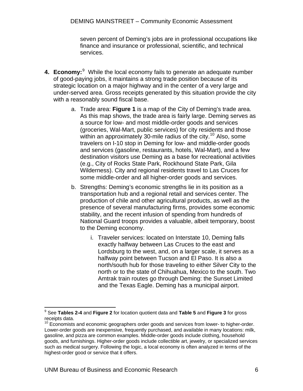seven percent of Deming's jobs are in professional occupations like finance and insurance or professional, scientific, and technical services.

- <span id="page-7-0"></span>**4. Economy:** <sup>[9](#page-7-0)</sup> While the local economy fails to generate an adequate number of good-paying jobs, it maintains a strong trade position because of its strategic location on a major highway and in the center of a very large and under-served area. Gross receipts generated by this situation provide the city with a reasonably sound fiscal base.
	- a. Trade area: **Figure 1** is a map of the City of Deming's trade area. As this map shows, the trade area is fairly large. Deming serves as a source for low- and most middle-order goods and services (groceries, Wal-Mart, public services) for city residents and those within an approximately 30-mile radius of the city.<sup>[10](#page-7-0)</sup> Also, some travelers on I-10 stop in Deming for low- and middle-order goods and services (gasoline, restaurants, hotels, Wal-Mart), and a few destination visitors use Deming as a base for recreational activities (e.g., City of Rocks State Park, Rockhound State Park, Gila Wilderness). City and regional residents travel to Las Cruces for some middle-order and all higher-order goods and services.
	- b. Strengths: Deming's economic strengths lie in its position as a transportation hub and a regional retail and services center. The production of chile and other agricultural products, as well as the presence of several manufacturing firms, provides some economic stability, and the recent infusion of spending from hundreds of National Guard troops provides a valuable, albeit temporary, boost to the Deming economy.
		- i. Traveler services: located on Interstate 10, Deming falls exactly halfway between Las Cruces to the east and Lordsburg to the west, and, on a larger scale, it serves as a halfway point between Tucson and El Paso. It is also a north/south hub for those traveling to either Silver City to the north or to the state of Chihuahua, Mexico to the south. Two Amtrak train routes go through Deming: the Sunset Limited and the Texas Eagle. Deming has a municipal airport.

 $\overline{a}$ 

<sup>9</sup> See **Tables 2-4** and **Figure 2** for location quotient data and **Table 5** and **Figure 3** for gross receipts data.

 $10$  Economists and economic geographers order goods and services from lower- to higher-order. Lower-order goods are inexpensive, frequently purchased, and available in many locations: milk, gasoline, and pizza are common examples. Middle-order goods include clothing, household goods, and furnishings. Higher-order goods include collectible art, jewelry, or specialized services such as medical surgery. Following the logic, a local economy is often analyzed in terms of the highest-order good or service that it offers.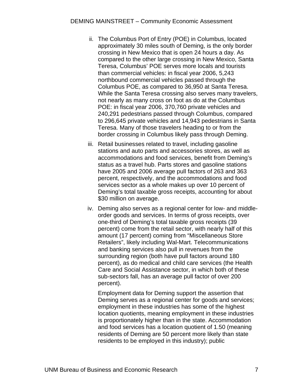- ii. The Columbus Port of Entry (POE) in Columbus, located approximately 30 miles south of Deming, is the only border crossing in New Mexico that is open 24 hours a day. As compared to the other large crossing in New Mexico, Santa Teresa, Columbus' POE serves more locals and tourists than commercial vehicles: in fiscal year 2006, 5,243 northbound commercial vehicles passed through the Columbus POE, as compared to 36,950 at Santa Teresa. While the Santa Teresa crossing also serves many travelers, not nearly as many cross on foot as do at the Columbus POE: in fiscal year 2006, 370,760 private vehicles and 240,291 pedestrians passed through Columbus, compared to 296,645 private vehicles and 14,943 pedestrians in Santa Teresa. Many of those travelers heading to or from the border crossing in Columbus likely pass through Deming.
- iii. Retail businesses related to travel, including gasoline stations and auto parts and accessories stores, as well as accommodations and food services, benefit from Deming's status as a travel hub. Parts stores and gasoline stations have 2005 and 2006 average pull factors of 263 and 363 percent, respectively, and the accommodations and food services sector as a whole makes up over 10 percent of Deming's total taxable gross receipts, accounting for about \$30 million on average.
- iv. Deming also serves as a regional center for low- and middleorder goods and services. In terms of gross receipts, over one-third of Deming's total taxable gross receipts (39 percent) come from the retail sector, with nearly half of this amount (17 percent) coming from "Miscellaneous Store Retailers", likely including Wal-Mart. Telecommunications and banking services also pull in revenues from the surrounding region (both have pull factors around 180 percent), as do medical and child care services (the Health Care and Social Assistance sector, in which both of these sub-sectors fall, has an average pull factor of over 200 percent).

Employment data for Deming support the assertion that Deming serves as a regional center for goods and services; employment in these industries has some of the highest location quotients, meaning employment in these industries is proportionately higher than in the state. Accommodation and food services has a location quotient of 1.50 (meaning residents of Deming are 50 percent more likely than state residents to be employed in this industry); public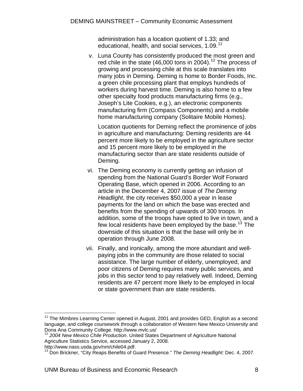administration has a location quotient of 1.33; and educational, health, and social services, 1.09.<sup>[11](#page-9-0)</sup>

<span id="page-9-0"></span>v. Luna County has consistently produced the most green and red chile in the state  $(46,000$  tons in 2004).<sup>[12](#page-9-0)</sup> The process of growing and processing chile at this scale translates into many jobs in Deming. Deming is home to Border Foods, Inc. a green chile processing plant that employs hundreds of workers during harvest time. Deming is also home to a few other specialty food products manufacturing firms (e.g., Joseph's Lite Cookies, e.g.), an electronic components manufacturing firm (Compass Components) and a mobile home manufacturing company (Solitaire Mobile Homes).

Location quotients for Deming reflect the prominence of jobs in agriculture and manufacturing: Deming residents are 44 percent more likely to be employed in the agriculture sector and 15 percent more likely to be employed in the manufacturing sector than are state residents outside of Deming.

- vi. The Deming economy is currently getting an infusion of spending from the National Guard's Border Wolf Forward Operating Base, which opened in 2006. According to an article in the December 4, 2007 issue of *The Deming Headlight*, the city receives \$50,000 a year in lease payments for the land on which the base was erected and benefits from the spending of upwards of 300 troops. In addition, some of the troops have opted to live in town, and a few local residents have been employed by the base.<sup>[13](#page-9-0)</sup> The downside of this situation is that the base will only be in operation through June 2008.
- vii. Finally, and ironically, among the more abundant and wellpaying jobs in the community are those related to social assistance. The large number of elderly, unemployed, and poor citizens of Deming requires many public services, and jobs in this sector tend to pay relatively well. Indeed, Deming residents are 47 percent more likely to be employed in local or state government than are state residents.

 $\overline{a}$ 

 $11$  The Mimbres Learning Center opened in August, 2001 and provides GED, English as a second language, and college coursework through a collaboration of Western New Mexico University and Dona Ana Community College. http://www.mvlc.us/

<sup>12</sup> *2004 New Mexico Chile Production*. United States Department of Agriculture National Agriculture Statistics Service, accessed January 2, 2008.

http://www.nass.usda.gov/nm/chile04.pdf.

<sup>13</sup> Don Brickner, "City Reaps Benefits of Guard Presence." *The Deming Headlight*: Dec. 4, 2007.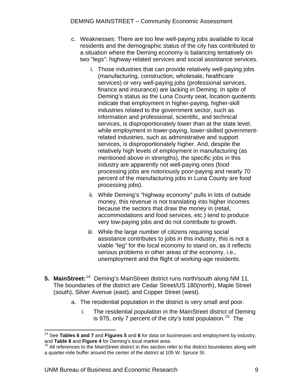- <span id="page-10-0"></span>c. Weaknesses: There are too few well-paying jobs available to local residents and the demographic status of the city has contributed to a situation where the Deming economy is balancing tentatively on two "legs": highway-related services and social assistance services.
	- i. Those industries that can provide relatively well-paying jobs (manufacturing, construction, wholesale, healthcare services) or very well-paying jobs (professional services, finance and insurance) are lacking in Deming. In spite of Deming's status as the Luna County seat, location quotients indicate that employment in higher-paying, higher-skill industries related to the government sector, such as information and professional, scientific, and technical services, is disproportionately lower than at the state level, while employment in lower-paying, lower-skilled governmentrelated industries, such as administrative and support services, is disproportionately higher. And, despite the relatively high levels of employment in manufacturing (as mentioned above in strengths), the specific jobs in this industry are apparently not well-paying ones (food processing jobs are notoriously poor-paying and nearly 70 percent of the manufacturing jobs in Luna County are food processing jobs).
	- ii. While Deming's "highway economy" pulls in lots of outside money, this revenue is not translating into higher incomes because the sectors that draw the money in (retail, accommodations and food services, etc.) tend to produce very low-paying jobs and do not contribute to growth.
	- iii. While the large number of citizens requiring social assistance contributes to jobs in this industry, this is not a viable "leg" for the local economy to stand on, as it reflects serious problems in other areas of the economy, i.e., unemployment and the flight of working-age residents.
- **5. MainStreet:** [14](#page-10-0) Deming's MainStreet district runs north/south along NM 11. The boundaries of the district are Cedar Street/US 180(north), Maple Street (south), Silver Avenue (east), and Copper Street (west).
	- a. The residential population in the district is very small and poor.
		- i. The residential population in the MainStreet district of Deming is 975, only 7 percent of the city's total population.<sup>[15](#page-10-0)</sup> The

 $\overline{a}$ 

<sup>14</sup> See **Tables 6 and 7** and **Figures 5** and **6** for data on businesses and employment by industry, and **Table 8** and **Figure 4** for Deming's local market area.<br><sup>15</sup> All references to the MainStreet district in this section refer to the district boundaries along with

a quarter-mile buffer around the center of the district at 105 W. Spruce St.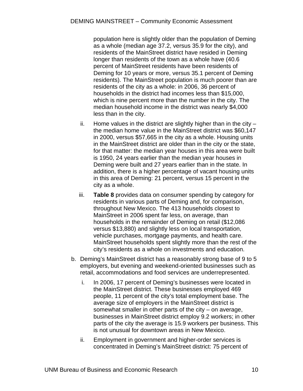population here is slightly older than the population of Deming as a whole (median age 37.2, versus 35.9 for the city), and residents of the MainStreet district have resided in Deming longer than residents of the town as a whole have (40.6 percent of MainStreet residents have been residents of Deming for 10 years or more, versus 35.1 percent of Deming residents). The MainStreet population is much poorer than are residents of the city as a whole: in 2006, 36 percent of households in the district had incomes less than \$15,000, which is nine percent more than the number in the city. The median household income in the district was nearly \$4,000 less than in the city.

- ii. Home values in the district are slightly higher than in the city  $$ the median home value in the MainStreet district was \$60,147 in 2000, versus \$57,665 in the city as a whole. Housing units in the MainStreet district are older than in the city or the state, for that matter: the median year houses in this area were built is 1950, 24 years earlier than the median year houses in Deming were built and 27 years earlier than in the state. In addition, there is a higher percentage of vacant housing units in this area of Deming: 21 percent, versus 15 percent in the city as a whole.
- iii. **Table 8** provides data on consumer spending by category for residents in various parts of Deming and, for comparison, throughout New Mexico. The 413 households closest to MainStreet in 2006 spent far less, on average, than households in the remainder of Deming on retail (\$12,086 versus \$13,880) and slightly less on local transportation, vehicle purchases, mortgage payments, and health care. MainStreet households spent slightly more than the rest of the city's residents as a whole on investments and education.
- b. Deming's MainStreet district has a reasonably strong base of 9 to 5 employers, but evening and weekend-oriented businesses such as retail, accommodations and food services are underrepresented.
	- i. In 2006, 17 percent of Deming's businesses were located in the MainStreet district. These businesses employed 469 people, 11 percent of the city's total employment base. The average size of employers in the MainStreet district is somewhat smaller in other parts of the city – on average, businesses in MainStreet district employ 9.2 workers; in other parts of the city the average is 15.9 workers per business. This is not unusual for downtown areas in New Mexico.
	- ii. Employment in government and higher-order services is concentrated in Deming's MainStreet district: 75 percent of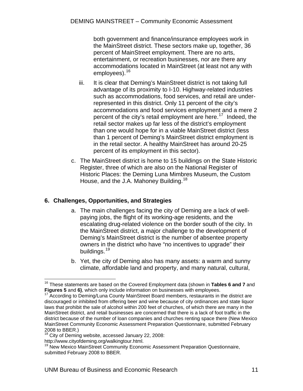<span id="page-12-0"></span>both government and finance/insurance employees work in the MainStreet district. These sectors make up, together, 36 percent of MainStreet employment. There are no arts, entertainment, or recreation businesses, nor are there any accommodations located in MainStreet (at least not any with employees).<sup>[16](#page-12-0)</sup>

- iii. It is clear that Deming's MainStreet district is not taking full advantage of its proximity to I-10. Highway-related industries such as accommodations, food services, and retail are underrepresented in this district. Only 11 percent of the city's accommodations and food services employment and a mere 2 percent of the city's retail employment are here.<sup>[17](#page-12-0)</sup> Indeed, the retail sector makes up far less of the district's employment than one would hope for in a viable MainStreet district (less than 1 percent of Deming's MainStreet district employment is in the retail sector. A healthy MainStreet has around 20-25 percent of its employment in this sector).
- c. The MainStreet district is home to 15 buildings on the State Historic Register, three of which are also on the National Register of Historic Places: the Deming Luna Mimbres Museum, the Custom House, and the J.A. Mahoney Building.<sup>[18](#page-12-0)</sup>

# **6. Challenges, Opportunities, and Strategies**

- a. The main challenges facing the city of Deming are a lack of wellpaying jobs, the flight of its working-age residents, and the escalating drug-related violence on the border south of the city. In the MainStreet district, a major challenge to the development of Deming's MainStreet district is the number of absentee property owners in the district who have "no incentives to upgrade" their buildings.<sup>[19](#page-12-0)</sup>
- b. Yet, the city of Deming also has many assets: a warm and sunny climate, affordable land and property, and many natural, cultural,

http://www.cityofdeming.org/walkingtour.html.

 $\overline{a}$ 

<sup>16</sup> These statements are based on the Covered Employment data (shown in **Tables 6 and 7** and **Figures 5** and 6), which only include information on businesses with employees.<br><sup>17</sup> According to Deming/Luna County MainStreet Board members, restaurants in the district are

discouraged or inhibited from offering beer and wine because of city ordinances and state liquor laws that prohibit the sale of alcohol within 200 feet of churches, of which there are many in the MainStreet district, and retail businesses are concerned that there is a lack of foot traffic in the district because of the number of loan companies and churches renting space there (New Mexico MainStreet Community Economic Assessment Preparation Questionnaire, submitted February 2008 to BBER.)

<sup>&</sup>lt;sup>18</sup> City of Deming website, accessed January 22, 2008:

<sup>&</sup>lt;sup>19</sup> New Mexico MainStreet Community Economic Assessment Preparation Questionnaire, submitted February 2008 to BBER.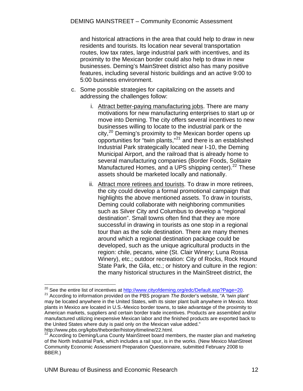<span id="page-13-0"></span>and historical attractions in the area that could help to draw in new residents and tourists. Its location near several transportation routes, low tax rates, large industrial park with incentives, and its proximity to the Mexican border could also help to draw in new businesses. Deming's MainStreet district also has many positive features, including several historic buildings and an active 9:00 to 5:00 business environment.

- c. Some possible strategies for capitalizing on the assets and addressing the challenges follow:
	- i. Attract better-paying manufacturing jobs. There are many motivations for new manufacturing enterprises to start up or move into Deming. The city offers several incentives to new businesses willing to locate to the industrial park or the city,<sup>[20](#page-13-0)</sup> Deming's proximity to the Mexican border opens up opportunities for "twin plants,"[21](#page-13-0) and there is an established Industrial Park strategically located near I-10, the Deming Municipal Airport, and the railroad that is already home to several manufacturing companies (Border Foods, Solitaire Manufactured Homes, and a UPS shipping center).<sup>[22](#page-13-0)</sup> These assets should be marketed locally and nationally.
	- ii. Attract more retirees and tourists. To draw in more retirees, the city could develop a formal promotional campaign that highlights the above mentioned assets. To draw in tourists, Deming could collaborate with neighboring communities such as Silver City and Columbus to develop a "regional destination". Small towns often find that they are more successful in drawing in tourists as one stop in a regional tour than as the sole destination. There are many themes around which a regional destination package could be developed, such as the unique agricultural products in the region: chile, pecans, wine (St. Clair Winery; Luna Rossa Winery), etc.; outdoor recreation: City of Rocks, Rock Hound State Park, the Gila, etc.; or history and culture in the region: the many historical structures in the MainStreet district, the

<sup>&</sup>lt;sup>20</sup> See the entire list of incentives at http://www.cityofdeming.org/edc/Default.asp?Page=20.

<sup>&</sup>lt;sup>21</sup> According to information provided on the PBS program *The Border's* website, "A 'twin plant' may be located anywhere in the United States, with its sister plant built anywhere in Mexico. Most plants in Mexico are located in U.S.-Mexico border towns, to take advantage of the proximity to American markets, suppliers and certain border trade incentives. Products are assembled and/or manufactured utilizing inexpensive Mexican labor and the finished products are exported back to the United States where duty is paid only on the Mexican value added." http://www.pbs.org/kpbs/theborder/history/timeline/22.html.

 $22$  According to Deming/Luna County MainStreet board members, the master plan and marketing of the North Industrial Park, which includes a rail spur, is in the works. (New Mexico MainStreet Community Economic Assessment Preparation Questionnaire, submitted February 2008 to BBER.)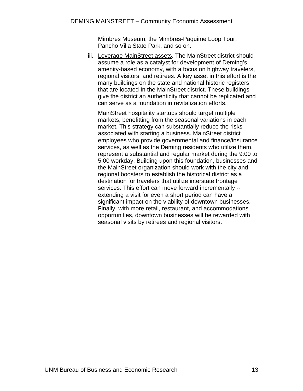Mimbres Museum, the Mimbres-Paquime Loop Tour, Pancho Villa State Park, and so on.

iii. Leverage MainStreet assets. The MainStreet district should assume a role as a catalyst for development of Deming's amenity-based economy, with a focus on highway travelers, regional visitors, and retirees. A key asset in this effort is the many buildings on the state and national historic registers that are located In the MainStreet district. These buildings give the district an authenticity that cannot be replicated and can serve as a foundation in revitalization efforts.

MainStreet hospitality startups should target multiple markets, benefitting from the seasonal variations in each market. This strategy can substantially reduce the risks associated with starting a business. MainStreet district employees who provide governmental and finance/insurance services, as well as the Deming residents who utilize them, represent a substantial and regular market during the 9:00 to 5:00 workday. Building upon this foundation, businesses and the MainStreet organization should work with the city and regional boosters to establish the historical district as a destination for travelers that utilize interstate frontage services. This effort can move forward incrementally - extending a visit for even a short period can have a significant impact on the viability of downtown businesses. Finally, with more retail, restaurant, and accommodations opportunities, downtown businesses will be rewarded with seasonal visits by retirees and regional visitors**.**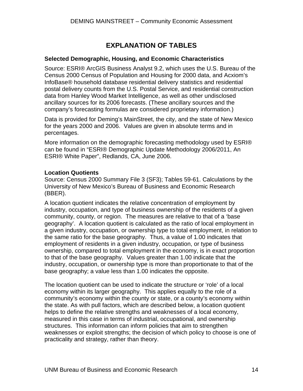# **EXPLANATION OF TABLES**

# <span id="page-15-0"></span>**Selected Demographic, Housing, and Economic Characteristics**

Source: ESRI® ArcGIS Business Analyst 9.2, which uses the U.S. Bureau of the Census 2000 Census of Population and Housing for 2000 data, and Acxiom's InfoBase® household database residential delivery statistics and residential postal delivery counts from the U.S. Postal Service, and residential construction data from Hanley Wood Market Intelligence, as well as other undisclosed ancillary sources for its 2006 forecasts. (These ancillary sources and the company's forecasting formulas are considered proprietary information.)

Data is provided for Deming's MainStreet, the city, and the state of New Mexico for the years 2000 and 2006. Values are given in absolute terms and in percentages.

More information on the demographic forecasting methodology used by ESRI® can be found in "ESRI® Demographic Update Methodology 2006/2011, An ESRI® White Paper", Redlands, CA, June 2006.

## **Location Quotients**

Source: Census 2000 Summary File 3 (SF3); Tables 59-61. Calculations by the University of New Mexico's Bureau of Business and Economic Research (BBER).

A location quotient indicates the relative concentration of employment by industry, occupation, and type of business ownership of the residents of a given community, county, or region. The measures are relative to that of a 'base geography'. A location quotient is calculated as the ratio of local employment in a given industry, occupation, or ownership type to total employment, in relation to the same ratio for the base geography. Thus, a value of 1.00 indicates that employment of residents in a given industry, occupation, or type of business ownership, compared to total employment in the economy, is in exact proportion to that of the base geography. Values greater than 1.00 indicate that the industry, occupation, or ownership type is more than proportionate to that of the base geography; a value less than 1.00 indicates the opposite.

The location quotient can be used to indicate the structure or 'role' of a local economy within its larger geography. This applies equally to the role of a community's economy within the county or state, or a county's economy within the state. As with pull factors, which are described below, a location quotient helps to define the relative strengths and weaknesses of a local economy, measured in this case in terms of industrial, occupational, and ownership structures. This information can inform policies that aim to strengthen weaknesses or exploit strengths; the decision of which policy to choose is one of practicality and strategy, rather than theory.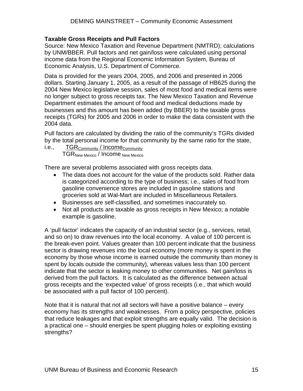# **Taxable Gross Receipts and Pull Factors**

Source: New Mexico Taxation and Revenue Department (NMTRD); calculations by UNM/BBER. Pull factors and net gain/loss were calculated using personal income data from the Regional Economic Information System, Bureau of Economic Analysis, U.S. Department of Commerce.

Data is provided for the years 2004, 2005, and 2006 and presented in 2006 dollars. Starting January 1, 2005, as a result of the passage of HB625 during the 2004 New Mexico legislative session, sales of most food and medical items were no longer subject to gross receipts tax. The New Mexico Taxation and Revenue Department estimates the amount of food and medical deductions made by businesses and this amount has been added (by BBER) to the taxable gross receipts (TGRs) for 2005 and 2006 in order to make the data consistent with the 2004 data.

Pull factors are calculated by dividing the ratio of the community's TGRs divided by the total personal income for that community by the same ratio for the state,

# i.e., TGR<sub>Community</sub> / Income<sub>Community</sub>

TGR<sub>New Mexico</sub> / Income New Mexico

There are several problems associated with gross receipts data.

- The data does not account for the value of the products sold. Rather data is categorized according to the type of business; i.e., sales of food from gasoline convenience stores are included in gasoline stations and groceries sold at Wal-Mart are included in Miscellaneous Retailers.
- Businesses are self-classified, and sometimes inaccurately so.
- Not all products are taxable as gross receipts in New Mexico; a notable example is gasoline.

A 'pull factor' indicates the capacity of an industrial sector (e.g., services, retail, and so on) to draw revenues into the local economy. A value of 100 percent is the break-even point. Values greater than 100 percent indicate that the business sector is drawing revenues into the local economy (more money is spent in the economy by those whose income is earned outside the community than money is spent by locals outside the community), whereas values less than 100 percent indicate that the sector is leaking money to other communities. Net gain/loss is derived from the pull factors. It is calculated as the difference between actual gross receipts and the 'expected value' of gross receipts (i.e., that which would be associated with a pull factor of 100 percent).

Note that it is natural that not all sectors will have a positive balance – every economy has its strengths and weaknesses. From a policy perspective, policies that reduce leakages and that exploit strengths are equally valid. The decision is a practical one – should energies be spent plugging holes or exploiting existing strengths?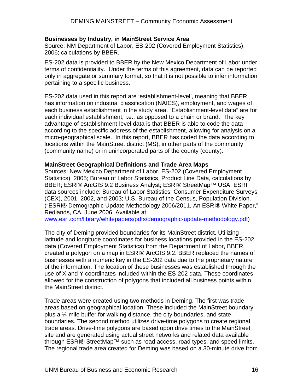#### **Businesses by Industry, in MainStreet Service Area**

Source: NM Department of Labor, ES-202 (Covered Employment Statistics), 2006; calculations by BBER.

ES-202 data is provided to BBER by the New Mexico Department of Labor under terms of confidentiality. Under the terms of this agreement, data can be reported only in aggregate or summary format, so that it is not possible to infer information pertaining to a specific business.

ES-202 data used in this report are 'establishment-level', meaning that BBER has information on industrial classification (NAICS), employment, and wages of each business establishment in the study area. "Establishment-level data" are for each individual establishment; i.e., as opposed to a chain or brand. The key advantage of establishment-level data is that BBER is able to code the data according to the specific address of the establishment, allowing for analysis on a micro-geographical scale. In this report, BBER has coded the data according to locations within the MainStreet district (MS), in other parts of the community (community name) or in unincorporated parts of the county (county).

#### **MainStreet Geographical Definitions and Trade Area Maps**

Sources: New Mexico Department of Labor, ES-202 (Covered Employment Statistics), 2005; Bureau of Labor Statistics, Product Line Data, calculations by BBER; ESRI® ArcGIS 9.2 Business Analyst; ESRI® StreetMap™ USA. ESRI data sources include: Bureau of Labor Statistics, Consumer Expenditure Surveys (CEX), 2001, 2002, and 2003; U.S. Bureau of the Census, Population Division. ("ESRI® Demographic Update Methodology 2006/2011, An ESRI® White Paper," Redlands, CA, June 2006. Available at

[www.esri.com/library/whitepapers/pdfs/demographic-update-methodology.pdf\)](http://www.esri.com/library/whitepapers/pdfs/demographic-update-methodology.pdf)

The city of Deming provided boundaries for its MainStreet district. Utilizing latitude and longitude coordinates for business locations provided in the ES-202 data (Covered Employment Statistics) from the Department of Labor, BBER created a polygon on a map in ESRI® ArcGIS 9.2. BBER replaced the names of businesses with a numeric key in the ES-202 data due to the proprietary nature of the information. The location of these businesses was established through the use of X and Y coordinates included within the ES-202 data. These coordinates allowed for the construction of polygons that included all business points within the MainStreet district.

Trade areas were created using two methods in Deming. The first was trade areas based on geographical location. These included the MainStreet boundary plus a ¼ mile buffer for walking distance, the city boundaries, and state boundaries. The second method utilizes drive-time polygons to create regional trade areas. Drive-time polygons are based upon drive times to the MainStreet site and are generated using actual street networks and related data available through ESRI® StreetMap<sup>™</sup> such as road access, road types, and speed limits. The regional trade area created for Deming was based on a 30-minute drive from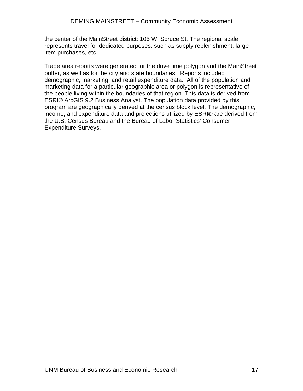the center of the MainStreet district: 105 W. Spruce St. The regional scale represents travel for dedicated purposes, such as supply replenishment, large item purchases, etc.

Trade area reports were generated for the drive time polygon and the MainStreet buffer, as well as for the city and state boundaries. Reports included demographic, marketing, and retail expenditure data. All of the population and marketing data for a particular geographic area or polygon is representative of the people living within the boundaries of that region. This data is derived from ESRI® ArcGIS 9.2 Business Analyst. The population data provided by this program are geographically derived at the census block level. The demographic, income, and expenditure data and projections utilized by ESRI® are derived from the U.S. Census Bureau and the Bureau of Labor Statistics' Consumer Expenditure Surveys.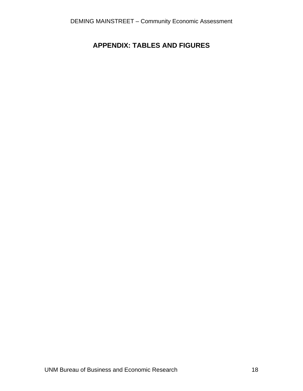# <span id="page-19-0"></span>**APPENDIX: TABLES AND FIGURES**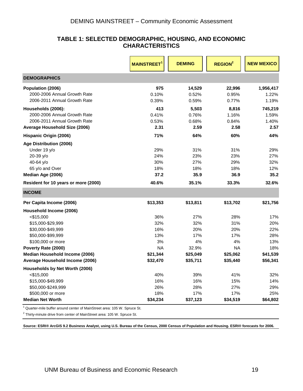## **TABLE 1: SELECTED DEMOGRAPHIC, HOUSING, AND ECONOMIC CHARACTERISTICS**

<span id="page-20-0"></span>

|                                              | <b>MAINSTREET</b> | <b>DEMING</b>   | <b>REGION<sup>2</sup></b> | <b>NEW MEXICO</b> |
|----------------------------------------------|-------------------|-----------------|---------------------------|-------------------|
| <b>DEMOGRAPHICS</b>                          |                   |                 |                           |                   |
| Population (2006)                            | 975               | 14,529          | 22,996                    | 1,956,417         |
| 2000-2006 Annual Growth Rate                 | 0.10%             | 0.52%           | 0.95%                     | 1.22%             |
| 2006-2011 Annual Growth Rate                 | 0.39%             | 0.59%           | 0.77%                     | 1.19%             |
| Households (2006):                           | 413               | 5,503           | 8,816                     | 745,219           |
| 2000-2006 Annual Growth Rate                 | 0.41%             | 0.76%           | 1.16%                     | 1.59%             |
| 2006-2011 Annual Growth Rate                 | 0.53%             | 0.68%           | 0.84%                     | 1.40%             |
| Average Household Size (2006)                | 2.31              | 2.59            | 2.58                      | 2.57              |
| Hispanic Origin (2006)                       | 71%               | 64%             | 60%                       | 44%               |
| Age Distribution (2006)                      |                   |                 |                           |                   |
| Under 19 y/o                                 | 29%               | 31%             | 31%                       | 29%               |
| 20-39 y/o                                    | 24%               | 23%             | 23%                       | 27%               |
| 40-64 y/o                                    | 30%               | 27%             | 29%                       | 32%               |
| 65 y/o and Over                              | 18%               | 18%             | 18%                       | 12%               |
| Median Age (2006)                            | 37.2              | 35.9            | 36.9                      | 35.2              |
| Resident for 10 years or more (2000)         | 40.6%             | 35.1%           | 33.3%                     | 32.6%             |
| <b>INCOME</b>                                |                   |                 |                           |                   |
| Per Capita Income (2006)                     | \$13,353          | \$13,811        | \$13,702                  | \$21,756          |
| Household Income (2006)                      |                   |                 |                           |                   |
| $<$ \$15,000                                 | 36%               | 27%             | 28%                       | 17%               |
| \$15,000-\$29,999                            | 32%               | 32%             | 31%                       | 20%               |
| \$30,000-\$49,999                            | 16%               | 20%             | 20%                       | 22%               |
| \$50,000-\$99,999                            | 13%               | 17%             | 17%                       | 28%               |
| \$100,000 or more                            | 3%                | 4%              | 4%                        | 13%               |
| Poverty Rate (2000)                          | <b>NA</b>         | 32.9%           | <b>NA</b>                 | 18%               |
| Median Household Income (2006)               | \$21,344          | \$25,049        | \$25,062                  | \$41,539          |
| Average Household Income (2006)              | \$32,470          | \$35,711        | \$35,440                  | \$56,341          |
| Households by Net Worth (2006)               |                   |                 |                           |                   |
| $<$ \$15,000                                 | 40%               | 39%             | 41%                       | 32%               |
| \$15,000-\$49,999                            | 16%               | 16%             | 15%                       | 14%               |
| \$50,000-\$249,999                           | 26%               | 28%             | 27%                       | 29%               |
| \$500,000 or more<br><b>Median Net Worth</b> | 18%<br>\$34,234   | 17%<br>\$37,123 | 17%<br>\$34,519           | 25%<br>\$64,802   |
|                                              |                   |                 |                           |                   |

<sup>1</sup> Quarter-mile buffer around center of MainStreet area: 105 W. Spruce St.

 $2$  Thirty-minute drive from center of MainStreet area: 105 W. Spruce St.

**Source: ESRI® ArcGIS 9.2 Business Analyst, using U.S. Bureau of the Census, 2000 Census of Population and Housing. ESRI® forecasts for 2006.**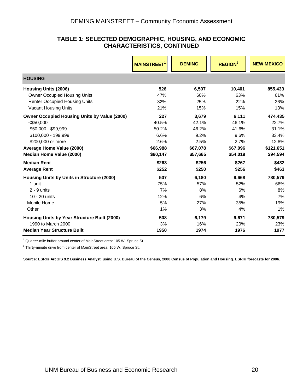## **TABLE 1: SELECTED DEMOGRAPHIC, HOUSING, AND ECONOMIC CHARACTERISTICS, CONTINUED**

|                                                     | <b>MAINSTREET<sup>1</sup></b> | <b>DEMING</b><br><b>REGION<sup>2</sup></b> |          | <b>NEW MEXICO</b> |
|-----------------------------------------------------|-------------------------------|--------------------------------------------|----------|-------------------|
| <b>HOUSING</b>                                      |                               |                                            |          |                   |
| <b>Housing Units (2006)</b>                         | 526                           | 6,507                                      | 10,401   | 855,433           |
| <b>Owner Occupied Housing Units</b>                 | 47%                           | 60%                                        | 63%      | 61%               |
| <b>Renter Occupied Housing Units</b>                | 32%                           | 25%                                        | 22%      | 26%               |
| Vacant Housing Units                                | 21%                           | 15%                                        | 15%      | 13%               |
| <b>Owner Occupied Housing Units by Value (2000)</b> | 227                           | 3,679                                      | 6,111    | 474,435           |
| $<$ \$50,000                                        | 40.5%                         | 42.1%                                      | 46.1%    | 22.7%             |
| \$50,000 - \$99,999                                 | 50.2%                         | 46.2%                                      | 41.6%    | 31.1%             |
| \$100,000 - 199,999                                 | 6.6%                          | 9.2%                                       | 9.6%     | 33.4%             |
| \$200,000 or more                                   | 2.6%                          | 2.5%                                       | 2.7%     | 12.8%             |
| Average Home Value (2000)                           | \$66,988                      | \$67,078                                   | \$67,096 | \$121,651         |
| Median Home Value (2000)                            | \$60,147                      | \$57,665                                   | \$54,019 | \$94,594          |
| <b>Median Rent</b>                                  | \$263                         | \$256                                      | \$267    | \$432             |
| <b>Average Rent</b>                                 | \$252                         | \$250                                      | \$256    | \$463             |
| Housing Units by Units in Structure (2000)          | 507                           | 6,180                                      | 9,668    | 780,579           |
| 1 unit                                              | 75%                           | 57%                                        | 52%      | 66%               |
| $2 - 9$ units                                       | 7%                            | 8%                                         | 6%       | 8%                |
| 10 - 20 units                                       | 12%                           | 6%                                         | 4%       | 7%                |
| Mobile Home                                         | 5%                            | 27%                                        | 35%      | 19%               |
| Other                                               | 1%                            | 3%                                         | 4%       | 1%                |
| Housing Units by Year Structure Built (2000)        | 508                           | 6,179                                      | 9,671    | 780,579           |
| 1990 to March 2000                                  | 3%                            | 16%                                        | 20%      | 23%               |
| <b>Median Year Structure Built</b>                  | 1950                          | 1974                                       | 1976     | 1977              |

<sup>1</sup> Quarter-mile buffer around center of MainStreet area: 105 W. Spruce St.

 $2$  Thirty-minute drive from center of MainStreet area: 105 W. Spruce St.

**Source: ESRI® ArcGIS 9.2 Business Analyst, using U.S. Bureau of the Census, 2000 Census of Population and Housing. ESRI® forecasts for 2006.**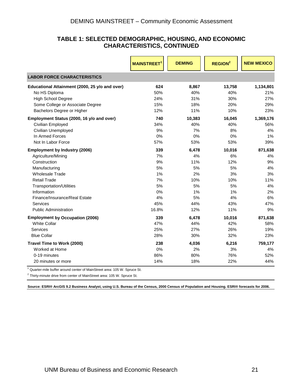## **TABLE 1: SELECTED DEMOGRAPHIC, HOUSING, AND ECONOMIC CHARACTERISTICS, CONTINUED**

|                                                | <b>MAINSTREET</b> | <b>DEMING</b> | <b>REGION<sup>2</sup></b> | <b>NEW MEXICO</b> |
|------------------------------------------------|-------------------|---------------|---------------------------|-------------------|
| <b>LABOR FORCE CHARACTERISTICS</b>             |                   |               |                           |                   |
| Educational Attainment (2000, 25 y/o and over) | 624               | 8,867         | 13,758                    | 1,134,801         |
| No HS Diploma                                  | 50%               | 40%           | 40%                       | 21%               |
| <b>High School Degree</b>                      | 24%               | 31%           | 30%                       | 27%               |
| Some College or Associate Degree               | 15%               | 18%           | 20%                       | 29%               |
| Bachelors Degree or Higher                     | 12%               | 11%           | 10%                       | 23%               |
| Employment Status (2000, 16 y/o and over)      | 740               | 10,383        | 16,045                    | 1,369,176         |
| Civilian Employed                              | 34%               | 40%           | 40%                       | 56%               |
| Civilian Unemployed                            | 9%                | 7%            | 8%                        | 4%                |
| In Armed Forces                                | 0%                | 0%            | 0%                        | 1%                |
| Not In Labor Force                             | 57%               | 53%           | 53%                       | 39%               |
| <b>Employment by Industry (2006)</b>           | 339               | 6,478         | 10,016                    | 871,638           |
| Agriculture/Mining                             | 7%                | 4%            | 6%                        | 4%                |
| Construction                                   | 9%                | 11%           | 12%                       | 9%                |
| Manufacturing                                  | 5%                | 5%            | 5%                        | 4%                |
| <b>Wholesale Trade</b>                         | 1%                | 2%            | 3%                        | 3%                |
| <b>Retail Trade</b>                            | 7%                | 10%           | 10%                       | 11%               |
| <b>Transportation/Utilities</b>                | 5%                | 5%            | 5%                        | 4%                |
| Information                                    | 0%                | $1\%$         | 1%                        | 2%                |
| Finance/Insurance/Real Estate                  | 4%                | 5%            | 4%                        | 6%                |
| Services                                       | 45%               | 44%           | 43%                       | 47%               |
| <b>Public Administration</b>                   | 16.8%             | 12%           | 11%                       | 9%                |
| <b>Employment by Occupation (2006)</b>         | 339               | 6,478         | 10,016                    | 871,638           |
| <b>White Collar</b>                            | 47%               | 44%           | 42%                       | 58%               |
| Services                                       | 25%               | 27%           | 26%                       | 19%               |
| <b>Blue Collar</b>                             | 28%               | 30%           | 32%                       | 23%               |
| Travel Time to Work (2000)                     | 238               | 4,036         | 6,216                     | 759,177           |
| Worked at Home                                 | 0%                | 2%            | 3%                        | 4%                |
| 0-19 minutes                                   | 86%               | 80%           | 76%                       | 52%               |
| 20 minutes or more                             | 14%               | 18%           | 22%                       | 44%               |

<sup>1</sup> Quarter-mile buffer around center of MainStreet area: 105 W. Spruce St.

 $2$  Thirty-minute drive from center of MainStreet area: 105 W. Spruce St.

**Source: ESRI® A rcGIS 9.2 Business Analyst, using U.S. Bureau of the Census, 2000 Census of Population and Housing. ESRI® forecasts for 2006.**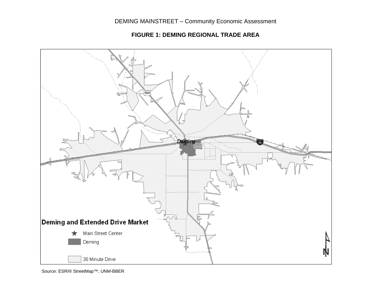**FIGURE 1: DEMING REGIONAL TRADE AREA** 



<span id="page-23-0"></span>Source: ESRI® StreetMap™, UNM-BBER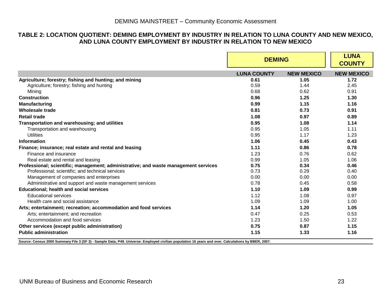#### **TABLE 2: LOCATION QUOTIENT: DEMING EMPLOYMENT BY INDUSTRY IN RELATION TO LUNA COUNTY AND NEW MEXICO, AND LUNA COUNTY EMPLOYMENT BY INDUSTRY IN RELATION TO NEW MEXICO**

|                                                                                     | <b>DEMING</b>      |                   | <b>LUNA</b><br><b>COUNTY</b> |
|-------------------------------------------------------------------------------------|--------------------|-------------------|------------------------------|
|                                                                                     | <b>LUNA COUNTY</b> | <b>NEW MEXICO</b> | <b>NEW MEXICO</b>            |
| Agriculture; forestry; fishing and hunting; and mining                              | 0.61               | 1.05              | 1.72                         |
| Agriculture; forestry; fishing and hunting                                          | 0.59               | 1.44              | 2.45                         |
| Mining                                                                              | 0.68               | 0.62              | 0.91                         |
| <b>Construction</b>                                                                 | 0.96               | 1.25              | 1.30                         |
| <b>Manufacturing</b>                                                                | 0.99               | 1.15              | 1.16                         |
| <b>Wholesale trade</b>                                                              | 0.81               | 0.73              | 0.91                         |
| <b>Retail trade</b>                                                                 | 1.08               | 0.97              | 0.89                         |
| Transportation and warehousing; and utilities                                       | 0.95               | 1.08              | 1.14                         |
| Transportation and warehousing                                                      | 0.95               | 1.05              | 1.11                         |
| Utilities                                                                           | 0.95               | 1.17              | 1.23                         |
| Information                                                                         | 1.06               | 0.45              | 0.43                         |
| Finance; insurance; real estate and rental and leasing                              | 1.11               | 0.86              | 0.78                         |
| Finance and insurance                                                               | 1.23               | 0.76              | 0.62                         |
| Real estate and rental and leasing                                                  | 0.99               | 1.05              | 1.06                         |
| Professional; scientific; management; administrative; and waste management services | 0.75               | 0.34              | 0.46                         |
| Professional; scientific; and technical services                                    | 0.73               | 0.29              | 0.40                         |
| Management of companies and enterprises                                             | 0.00               | 0.00              | 0.00                         |
| Administrative and support and waste management services                            | 0.78               | 0.45              | 0.58                         |
| <b>Educational; health and social services</b>                                      | 1.10               | 1.09              | 0.99                         |
| <b>Educational services</b>                                                         | 1.12               | 1.08              | 0.97                         |
| Health care and social assistance                                                   | 1.09               | 1.09              | 1.00                         |
| Arts; entertainment; recreation; accommodation and food services                    | 1.14               | 1.20              | 1.05                         |
| Arts: entertainment: and recreation                                                 | 0.47               | 0.25              | 0.53                         |
| Accommodation and food services                                                     | 1.23               | 1.50              | 1.22                         |
| Other services (except public administration)                                       | 0.75               | 0.87              | 1.15                         |
| <b>Public administration</b>                                                        | 1.15               | 1.33              | 1.16                         |

<span id="page-24-0"></span>**Source: Census 2000 Summary File 3 (SF 3) - Sample Data; P49. Universe: Employed civilian population 16 years and over. Calculations by BBER, 2007.**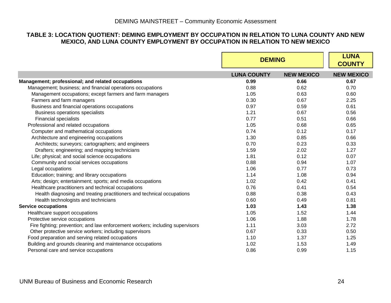# **TABLE 3: LOCATION QUOTIENT: DEMING EMPLOYMENT BY OCCUPATION IN RELATION TO LUNA COUNTY AND NEW MEXICO, AND LUNA COUNTY EMPLOYMENT BY OCCUPATION IN RELATION TO NEW MEXICO**

<span id="page-25-0"></span>

|                                                                               | <b>DEMING</b>      |                   | <b>LUNA</b><br><b>COUNTY</b> |
|-------------------------------------------------------------------------------|--------------------|-------------------|------------------------------|
|                                                                               | <b>LUNA COUNTY</b> | <b>NEW MEXICO</b> | <b>NEW MEXICO</b>            |
| Management; professional; and related occupations                             | 0.99               | 0.66              | 0.67                         |
| Management; business; and financial operations occupations                    | 0.88               | 0.62              | 0.70                         |
| Management occupations; except farmers and farm managers                      | 1.05               | 0.63              | 0.60                         |
| Farmers and farm managers                                                     | 0.30               | 0.67              | 2.25                         |
| Business and financial operations occupations                                 | 0.97               | 0.59              | 0.61                         |
| <b>Business operations specialists</b>                                        | 1.21               | 0.67              | 0.56                         |
| <b>Financial specialists</b>                                                  | 0.77               | 0.51              | 0.66                         |
| Professional and related occupations                                          | 1.05               | 0.68              | 0.65                         |
| Computer and mathematical occupations                                         | 0.74               | 0.12              | 0.17                         |
| Architecture and engineering occupations                                      | 1.30               | 0.85              | 0.66                         |
| Architects; surveyors; cartographers; and engineers                           | 0.70               | 0.23              | 0.33                         |
| Drafters; engineering; and mapping technicians                                | 1.59               | 2.02              | 1.27                         |
| Life; physical; and social science occupations                                | 1.81               | 0.12              | 0.07                         |
| Community and social services occupations                                     | 0.88               | 0.94              | 1.07                         |
| Legal occupations                                                             | 1.06               | 0.77              | 0.73                         |
| Education; training; and library occupations                                  | 1.14               | 1.08              | 0.94                         |
| Arts; design; entertainment; sports; and media occupations                    | 1.02               | 0.42              | 0.41                         |
| Healthcare practitioners and technical occupations                            | 0.76               | 0.41              | 0.54                         |
| Health diagnosing and treating practitioners and technical occupations        | 0.88               | 0.38              | 0.43                         |
| Health technologists and technicians                                          | 0.60               | 0.49              | 0.81                         |
| <b>Service occupations</b>                                                    | 1.03               | 1.43              | 1.38                         |
| Healthcare support occupations                                                | 1.05               | 1.52              | 1.44                         |
| Protective service occupations                                                | 1.06               | 1.88              | 1.78                         |
| Fire fighting; prevention; and law enforcement workers; including supervisors | 1.11               | 3.03              | 2.72                         |
| Other protective service workers; including supervisors                       | 0.67               | 0.33              | 0.50                         |
| Food preparation and serving related occupations                              | 1.10               | 1.37              | 1.25                         |
| Building and grounds cleaning and maintenance occupations                     | 1.02               | 1.53              | 1.49                         |
| Personal care and service occupations                                         | 0.86               | 0.99              | 1.15                         |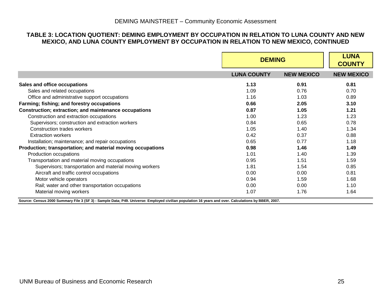#### **TABLE 3: LOCATION QUOTIENT: DEMING EMPLOYMENT BY OCCUPATION IN RELATION TO LUNA COUNTY AND NEW MEXICO, AND LUNA COUNTY EMPLOYMENT BY OCCUPATION IN RELATION TO NEW MEXICO, CONTINUED**

|                                                             | <b>DEMING</b>      | <b>LUNA</b><br><b>COUNTY</b> |                   |
|-------------------------------------------------------------|--------------------|------------------------------|-------------------|
|                                                             | <b>LUNA COUNTY</b> | <b>NEW MEXICO</b>            | <b>NEW MEXICO</b> |
| Sales and office occupations                                | 1.13               | 0.91                         | 0.81              |
| Sales and related occupations                               | 1.09               | 0.76                         | 0.70              |
| Office and administrative support occupations               | 1.16               | 1.03                         | 0.89              |
| Farming; fishing; and forestry occupations                  | 0.66               | 2.05                         | 3.10              |
| Construction; extraction; and maintenance occupations       | 0.87               | 1.05                         | 1.21              |
| Construction and extraction occupations                     | 1.00               | 1.23                         | 1.23              |
| Supervisors; construction and extraction workers            | 0.84               | 0.65                         | 0.78              |
| Construction trades workers                                 | 1.05               | 1.40                         | 1.34              |
| <b>Extraction workers</b>                                   | 0.42               | 0.37                         | 0.88              |
| Installation; maintenance; and repair occupations           | 0.65               | 0.77                         | 1.18              |
| Production; transportation; and material moving occupations | 0.98               | 1.46                         | 1.49              |
| Production occupations                                      | 1.01               | 1.40                         | 1.39              |
| Transportation and material moving occupations              | 0.95               | 1.51                         | 1.59              |
| Supervisors; transportation and material moving workers     | 1.81               | 1.54                         | 0.85              |
| Aircraft and traffic control occupations                    | 0.00               | 0.00                         | 0.81              |
| Motor vehicle operators                                     | 0.94               | 1.59                         | 1.68              |
| Rail; water and other transportation occupations            | 0.00               | 0.00                         | 1.10              |
| Material moving workers                                     | 1.07               | 1.76                         | 1.64              |

**Source: Census 2000 Summary File 3 (SF 3) - Sample Data; P49. Universe: Employed civilian population 16 years and over. Calculations by BBER, 2007.**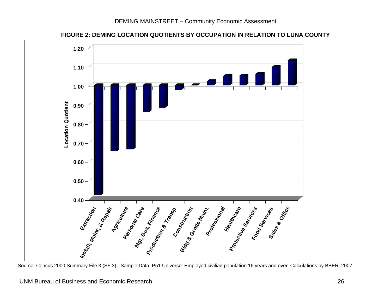

**FIGURE 2: DEMING LOCATION QUOTIENTS BY OCCUPATION IN RELATION TO LUNA COUNTY** 

<span id="page-27-0"></span>Source: Census 2000 Summary File 3 (SF 3) - Sample Data; P51 Universe: Employed civilian population 16 years and over. Calculations by BBER, 2007.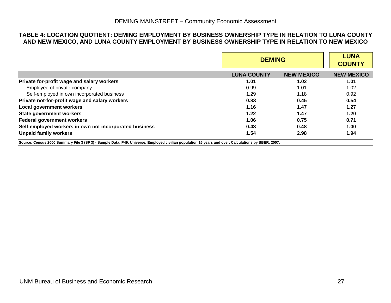#### **TABLE 4: LOCATION QUOTIENT: DEMING EMPLOYMENT BY BUSINESS OWNERSHIP TYPE IN RELATION TO LUNA COUNTY AND NEW MEXICO, AND LUNA COUNTY EMPLOYMENT BY BUSINESS OWNERSHIP TYPE IN RELATION TO NEW MEXICO**

|                                                                                                                                                     |                    | <b>DEMING</b>     |                   |  |
|-----------------------------------------------------------------------------------------------------------------------------------------------------|--------------------|-------------------|-------------------|--|
|                                                                                                                                                     | <b>LUNA COUNTY</b> | <b>NEW MEXICO</b> | <b>NEW MEXICO</b> |  |
| Private for-profit wage and salary workers                                                                                                          | 1.01               | 1.02              | 1.01              |  |
| Employee of private company                                                                                                                         | 0.99               | 1.01              | 1.02              |  |
| Self-employed in own incorporated business                                                                                                          | 1.29               | 1.18              | 0.92              |  |
| Private not-for-profit wage and salary workers                                                                                                      | 0.83               | 0.45              | 0.54              |  |
| <b>Local government workers</b>                                                                                                                     | 1.16               | 1.47              | 1.27              |  |
| <b>State government workers</b>                                                                                                                     | 1.22               | 1.47              | 1.20              |  |
| <b>Federal government workers</b>                                                                                                                   | 1.06               | 0.75              | 0.71              |  |
| Self-employed workers in own not incorporated business                                                                                              | 0.48               | 0.48              | 1.00              |  |
| <b>Unpaid family workers</b>                                                                                                                        | 1.54               | 2.98              | 1.94              |  |
| Source: Census 2000 Summary File 3 (SF 3) - Sample Data; P49. Universe: Employed civilian population 16 years and over. Calculations by BBER, 2007. |                    |                   |                   |  |

<span id="page-28-0"></span>UNM Bureau of Business and Economic Research 27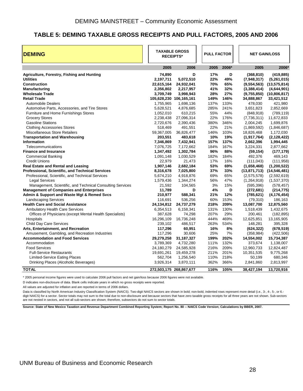# <span id="page-29-0"></span>**TABLE 5: DEMING TAXABLE GROSS RECEIPTS AND PULL FACTORS, 2005 AND 2006**

| <b>DEMING</b>                                             |                         |              |  | <b>TAXABLE GROSS</b><br><b>RECEIPTS*</b> |       | <b>PULL FACTOR</b> |                               |  | <b>NET GAIN/LOSS</b> |
|-----------------------------------------------------------|-------------------------|--------------|--|------------------------------------------|-------|--------------------|-------------------------------|--|----------------------|
|                                                           | 2005                    | 2006         |  | 2005                                     | 2006* | 2005               | 2006*                         |  |                      |
| Agriculture, Forestry, Fishing and Hunting                | 74,890                  | D            |  | 17%                                      | D     | (368, 810)         | (419, 885)                    |  |                      |
| <b>Utilities</b>                                          | 2,197,711               | 5,072,510    |  | 22%                                      | 49%   | (7,948,317)        | (5,261,015)                   |  |                      |
| <b>Construction</b>                                       | 22,615,164              | 24,932,041   |  | 70%                                      | 65%   | (9,554,563)        | (13,575,814)                  |  |                      |
| <b>Manufacturing</b>                                      | 2,356,802               | 2,217,957    |  | 41%                                      | 32%   | (3,388,414)        | (4,644,901)                   |  |                      |
| <b>Wholesale Trade</b>                                    | 3,709,749               | 3,998,943    |  | 28%                                      | 27%   |                    | $(9,755,850)$ $(10,806,817)$  |  |                      |
| <b>Retail Trade</b>                                       | 105,628,230 106,165,161 |              |  | 149%                                     | 146%  | 34,888,867         | 33,421,512                    |  |                      |
| <b>Automobile Dealers</b>                                 | 1,755,965               | 1,698,136    |  | 137%                                     | 133%  | 478.030            | 421,980                       |  |                      |
| Automotive Parts, Accessories, and Tire Stores            | 5,628,521               | 4,876,685    |  | 285%                                     | 241%  | 3,651,823          | 2,852,669                     |  |                      |
| <b>Furniture and Home Furnishings Stores</b>              | 1,052,010               | 610,215      |  | 55%                                      | 44%   | (848, 918)         | (789, 119)                    |  |                      |
| <b>Grocery Stores</b>                                     | 2,238,438               | 27,096,314   |  | 22%                                      | 176%  | (7,736,311)        | 11,672,833                    |  |                      |
| <b>Gasoline Stations</b>                                  | 2,720,676               | 2,390,436    |  | 380%                                     | 346%  | 2,004,245          | 1,699,876                     |  |                      |
| <b>Clothing Accessories Stores</b>                        | 518,469                 | 491,551      |  | 22%                                      | 21%   | (1,869,592)        | (1,846,687)                   |  |                      |
| Miscellaneous Store Retailers                             | 59,367,005              | 36,826,477   |  | 146%                                     | 103%  | 18,826,468         | 1,172,030                     |  |                      |
| <b>Transportation and Warehousing</b>                     | 203,551                 | 483,618      |  | 10%                                      | 19%   | (1,917,764)        | (2, 128, 422)                 |  |                      |
| <b>Information</b>                                        | 7,346,869               | 7,432,941    |  | 157%                                     | 137%  | 2,662,396          | 1,994,445                     |  |                      |
| Telecommunications                                        | 7,076,725               | 7,172,662    |  | 184%                                     | 167%  | 3,224,331          | 2,877,662                     |  |                      |
| <b>Finance and Insurance</b>                              | 1,347,492               | 1,302,784    |  | 96%                                      | 88%   | (59, 154)          | (177, 179)                    |  |                      |
| <b>Commercial Banking</b>                                 | 1,091,148               | 1,030,529    |  | 182%                                     | 184%  | 492,376            | 469,143                       |  |                      |
| <b>Credit Unions</b>                                      | 22,979                  | 21,473       |  | 17%                                      | 16%   | (111, 043)         | (111, 958)                    |  |                      |
| <b>Real Estate and Rental and Leasing</b>                 | 1,907,146               | 2,682,184    |  | 53%                                      | 69%   | (1,658,468)        | (1,200,522)                   |  |                      |
| Professional, Scientific, and Technical Services          | 8,316,678               | 7,025,800    |  | 37%                                      | 33%   |                    | $(13,871,713)$ $(14,546,481)$ |  |                      |
| Professional, Scientific, and Technical Services          | 5,674,210               | 4,918,876    |  | 69%                                      | 65%   | (2,575,578)        | (2,592,619)                   |  |                      |
| <b>Legal Services</b>                                     | 1,579,436               | 1,344,274    |  | 56%                                      | 47%   | (1,264,918)        | (1,537,370)                   |  |                      |
| Management, Scientific, and Technical Consulting Services | 21,592                  | 104,565      |  | 3%                                       | 15%   | (595, 396)         | (578, 457)                    |  |                      |
| <b>Management of Companies and Enterprises</b>            | 11,789                  | D            |  | 4%                                       | D     | (272, 681)         | (214, 775)                    |  |                      |
| Admin & Support and Waste Mgt & Remed Svcs                | 210,977                 | 588,341      |  | 21%                                      | 12%   | (785, 621)         | (4, 176, 454)                 |  |                      |
| <b>Landscaping Services</b>                               | 116,691                 | 536,256      |  | 60%                                      | 153%  | (79, 310)          | 186,163                       |  |                      |
| <b>Health Care and Social Assistance</b>                  | 24,134,812              | 24,737,279   |  | 218%                                     | 209%  | 13,087,700         | 12,875,560                    |  |                      |
| Ambulatory Health Care Services                           | 6,354,513               | 6,158,341    |  | 131%                                     | 130%  | 1,518,439          | 1,432,675                     |  |                      |
| Offices of Physicians (except Mental Health Specialists)  | 387,628                 | 74,298       |  | 207%                                     | 29%   | 200,461            | (182, 895)                    |  |                      |
| Hospitals                                                 | 16,296,109              | 16,736,248   |  | 444%                                     | 469%  | 12,625,851         | 13,165,905                    |  |                      |
| <b>Child Day Care Services</b>                            | 239,102                 | 486,517      |  | 263%                                     | 534%  | 148,281            | 395,328                       |  |                      |
| Arts, Entertainment, and Recreation                       | 117,296                 | 60,951       |  | 16%                                      | 8%    | (624, 322)         | (678, 519)                    |  |                      |
| Amusement, Gambling, and Recreation Industries            | 117,296                 | 30,606       |  | 25%                                      | 7%    | (358, 984)         | (422, 506)                    |  |                      |
| <b>Accommodation and Food Services</b>                    | 29,279,258              | 31, 187, 327 |  | 199%                                     | 202%  | 14,554,002         | 15,734,387                    |  |                      |
| Accommodation                                             | 3,789,369               | 4,732,280    |  | 111%                                     | 132%  | 373,674            | 1,138,007                     |  |                      |
| <b>Food Services</b>                                      | 24,180,279              | 24,585,928   |  | 216%                                     | 209%  | 12,960,733         | 12,824,487                    |  |                      |
| <b>Full-Service Restaurants</b>                           | 19,691,261              | 19,459,278   |  | 211%                                     | 201%  | 10,351,535         | 9,775,268                     |  |                      |
| <b>Limited-Service Eating Places</b>                      | 562,704                 | 1,256,540    |  | 110%                                     | 218%  | 50,199             | 680,346                       |  |                      |
| Drinking Places (Alcoholic Beverages)                     | 3,926,314               | 3,870,111    |  | 362%                                     | 366%  | 2,841,860          | 2,813,997                     |  |                      |
| <b>TOTAL</b>                                              | 272,503,175 268,867,677 |              |  | 116%                                     | 105%  | 38,427,194         | 13,720,916                    |  |                      |

\* 2005 personal income figures were used to calculate 2006 pull factors and net gain/loss because 2006 figures were not available.

D indicates non-disclosure of data. Blank cells indicate years in which no gross receipts were reported.

All values are adjusted for inflation and are reported in terms of 2006 dollars.

Data is classified by North American Industry Classification System (NAICS). Two-digit NAICS sectors are shown in bold; non-bold, indented rows represent more detail (i.e., 3-, 4-, 5-, or 6.digit NAICS) for a sector. Sector totals may not sum to the total due to non-disclosure and because sectors that have zero taxable gross receipts for all three years are not shown. Sub-sectors are not nested in sectors, and not all sub-sectors are shown; therefore, subsectors do not sum to sector totals.

**Source: State of New Mexico Taxation and Revenue Department Combined Reporting System; Report No. 80 -- NAICS Code Version; Calculations by BBER, 2007.**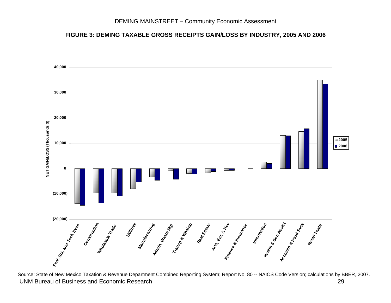#### **FIGURE 3: DEMING TAXABLE GROSS RECEIPTS GAIN/LOSS BY INDUSTRY, 2005 AND 2006**



<span id="page-30-0"></span> UNM Bureau of Business and Economic Research 29 29 Source: State of New Mexico Taxation & Revenue Department Combined Reporting System; Report No. 80 -- NAICS Code Version; calculations by BBER, 2007.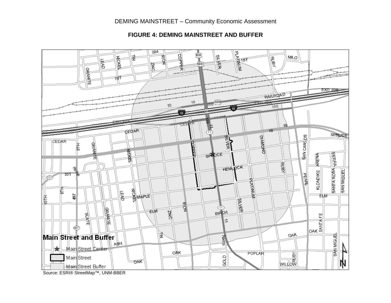# DEMING MAINSTREET – Community Economic Assessment



#### **FIGURE 4: DEMING MAINSTREET AND BUFFER**

<span id="page-31-0"></span>Source: ESRI® StreetMap™, UNM-BBER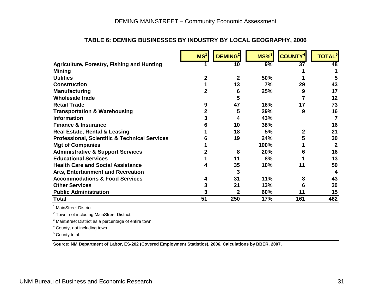|                                                          | MS <sup>1</sup> | DEMING <sup>2</sup> | $MS\%$ <sup>3</sup> | <b>COUNTY<sup>4</sup></b> | <b>TOTAL</b> <sup>5</sup> |
|----------------------------------------------------------|-----------------|---------------------|---------------------|---------------------------|---------------------------|
| <b>Agriculture, Forestry, Fishing and Hunting</b>        |                 | 10                  | 9%                  | $\overline{37}$           | 48                        |
| <b>Mining</b>                                            |                 |                     |                     |                           |                           |
| <b>Utilities</b>                                         |                 | 2                   | 50%                 |                           |                           |
| <b>Construction</b>                                      |                 | 13                  | 7%                  | 29                        | 43                        |
| <b>Manufacturing</b>                                     |                 | 6                   | 25%                 | 9                         | 17                        |
| Wholesale trade                                          |                 | 5                   |                     |                           | 12                        |
| <b>Retail Trade</b>                                      | 9               | 47                  | 16%                 | 17                        | 73                        |
| <b>Transportation &amp; Warehousing</b>                  | 2               | 5                   | 29%                 | 9                         | 16                        |
| <b>Information</b>                                       | 3               | 4                   | 43%                 |                           |                           |
| <b>Finance &amp; Insurance</b>                           |                 | 10                  | 38%                 |                           | 16                        |
| Real Estate, Rental & Leasing                            |                 | 18                  | 5%                  | 2                         | 21                        |
| <b>Professional, Scientific &amp; Technical Services</b> |                 | 19                  | 24%                 | 5                         | 30                        |
| <b>Mgt of Companies</b>                                  |                 |                     | 100%                |                           | 2                         |
| <b>Administrative &amp; Support Services</b>             |                 | 8                   | 20%                 | 6                         | 16                        |
| <b>Educational Services</b>                              |                 | 11                  | 8%                  |                           | 13                        |
| <b>Health Care and Social Assistance</b>                 |                 | 35                  | 10%                 | 11                        | 50                        |
| <b>Arts, Entertainment and Recreation</b>                |                 | 3                   |                     |                           |                           |
| <b>Accommodations &amp; Food Services</b>                |                 | 31                  | 11%                 | 8                         | 43                        |
| <b>Other Services</b>                                    | 3               | 21                  | 13%                 | 6                         | 30                        |
| <b>Public Administration</b>                             |                 | 2                   | 60%                 | 11                        | 15                        |
| Total                                                    | 51              | 250                 | 17%                 | 161                       | 462                       |

## **TABLE 6: DEMING BUSINESSES BY INDUSTRY BY LOCAL GEOGRAPHY, 2006**

<sup>1</sup> MainStreet District.

2 Town, not including MainStreet District.

3 MainStreet District as a percentage of entire town.

4 County, not including town.

5 County total.

<span id="page-32-0"></span>**Source: NM Department of Labor, ES-202 (Covered Employment Statistics), 2006. Calculations by BBER, 2007.**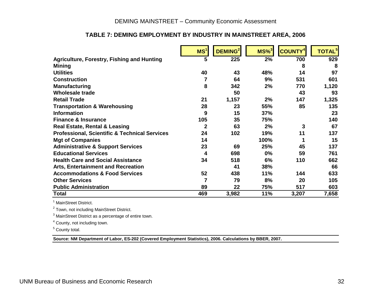# DEMING MAINSTREET – Community Economic Assessment

# **TABLE 7: DEMING EMPLOYMENT BY INDUSTRY IN MAINSTREET AREA, 2006**

|                                                          | MS <sup>1</sup> | DEMING <sup>2</sup> | $MS\%$ <sup>3</sup> | <b>COUNTY</b> | <b>TOTAL<sup>5</sup></b> |
|----------------------------------------------------------|-----------------|---------------------|---------------------|---------------|--------------------------|
| <b>Agriculture, Forestry, Fishing and Hunting</b>        | 5               | 225                 | 2%                  | 700           | 929                      |
| <b>Mining</b>                                            |                 |                     |                     | 8             | 8                        |
| <b>Utilities</b>                                         | 40              | 43                  | 48%                 | 14            | 97                       |
| <b>Construction</b>                                      | 7               | 64                  | 9%                  | 531           | 601                      |
| <b>Manufacturing</b>                                     | 8               | 342                 | 2%                  | 770           | 1,120                    |
| <b>Wholesale trade</b>                                   |                 | 50                  |                     | 43            | 93                       |
| <b>Retail Trade</b>                                      | 21              | 1,157               | 2%                  | 147           | 1,325                    |
| <b>Transportation &amp; Warehousing</b>                  | 28              | 23                  | 55%                 | 85            | 135                      |
| <b>Information</b>                                       | 9               | 15                  | 37%                 |               | 23                       |
| <b>Finance &amp; Insurance</b>                           | 105             | 35                  | 75%                 |               | 140                      |
| <b>Real Estate, Rental &amp; Leasing</b>                 | $\overline{2}$  | 63                  | 2%                  | 3             | 67                       |
| <b>Professional, Scientific &amp; Technical Services</b> | 24              | 102                 | 19%                 | 11            | 137                      |
| <b>Mgt of Companies</b>                                  | 14              |                     | 100%                |               | 15                       |
| <b>Administrative &amp; Support Services</b>             | 23              | 69                  | 25%                 | 45            | 137                      |
| <b>Educational Services</b>                              | 4               | 698                 | $0\%$               | 59            | 761                      |
| <b>Health Care and Social Assistance</b>                 | 34              | 518                 | 6%                  | 110           | 662                      |
| <b>Arts, Entertainment and Recreation</b>                |                 | 41                  | 38%                 |               | 66                       |
| <b>Accommodations &amp; Food Services</b>                | 52              | 438                 | 11%                 | 144           | 633                      |
| <b>Other Services</b>                                    | 7               | 79                  | 8%                  | 20            | 105                      |
| <b>Public Administration</b>                             | 89              | 22                  | 75%                 | 517           | 603                      |
| <b>Total</b>                                             | 469             | 3,982               | 11%                 | 3,207         | 7,658                    |

<sup>1</sup> MainStreet District.

2 Town, not including MainStreet District.

3 MainStreet District as a percentage of entire town.

4 County, not including town.

5 County total.

<span id="page-33-0"></span>**Source: NM Department of Labor, ES-202 (Covered Employment Statistics), 2006. Calculations by BBER, 2007.**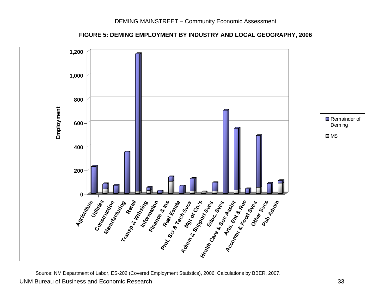**FIGURE 5: DEMING EMPLOYMENT BY INDUSTRY AND LOCAL GEOGRAPHY, 2006**



<span id="page-34-0"></span> UNM Bureau of Business and Economic Research 33 Source: NM Department of Labor, ES-202 (Covered Employment Statistics), 2006. Calculations by BBER, 2007.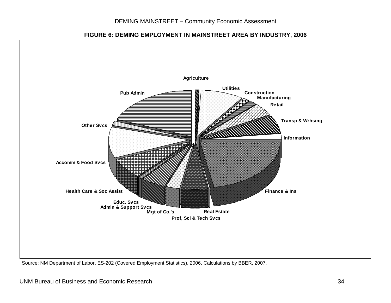

## **FIGURE 6: DEMING EMPLOYMENT IN MAINSTREET AREA BY INDUSTRY, 2006**

<span id="page-35-0"></span>Source: NM Department of Labor, ES-202 (Covered Employment Statistics), 2006. Calculations by BBER, 2007.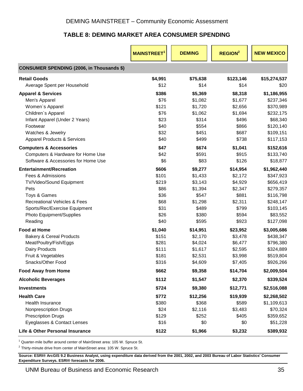# **TABLE 8: DEMING MARKET AREA CONSUMER SPENDING**

<span id="page-36-0"></span>

|                                                  | <b>MAINSTREET</b> | <b>DEMING</b> | <b>REGION<sup>2</sup></b> | <b>NEW MEXICO</b> |
|--------------------------------------------------|-------------------|---------------|---------------------------|-------------------|
| <b>CONSUMER SPENDING (2006, in Thousands \$)</b> |                   |               |                           |                   |
| <b>Retail Goods</b>                              | \$4,991           | \$75,638      | \$123,146                 | \$15,274,537      |
| Average Spent per Household                      | \$12              | \$14          | \$14                      | \$20              |
| <b>Apparel &amp; Services</b>                    | \$386             | \$5,369       | \$8,318                   | \$1,186,955       |
| Men's Apparel                                    | \$76              | \$1,082       | \$1,677                   | \$237,346         |
| Women's Apparel                                  | \$121             | \$1,720       | \$2,656                   | \$370,989         |
| Children's Apparel                               | \$76              | \$1,062       | \$1,694                   | \$232,175         |
| Infant Apparel (Under 2 Years)                   | \$23              | \$314         | \$496                     | \$68,340          |
| Footwear                                         | \$40              | \$554         | \$866                     | \$120,140         |
| Watches & Jewelry                                | \$32              | \$451         | \$687                     | \$109,151         |
| <b>Apparel Products &amp; Services</b>           | \$40              | \$499         | \$738                     | \$117,153         |
| <b>Computers &amp; Accessories</b>               | \$47              | \$674         | \$1,041                   | \$152,616         |
| Computers & Hardware for Home Use                | \$42              | \$591         | \$915                     | \$133,740         |
| Software & Accessories for Home Use              | \$6               | \$83          | \$126                     | \$18,877          |
| <b>Entertainment/Recreation</b>                  | \$606             | \$9,277       | \$14,954                  | \$1,962,440       |
| Fees & Admissions                                | \$101             | \$1,433       | \$2,172                   | \$347,923         |
| TV/Video/Sound Equipment                         | \$219             | \$3,143       | \$4,929                   | \$656,419         |
| Pets                                             | \$86              | \$1,394       | \$2,347                   | \$279,357         |
| Toys & Games                                     | \$36              | \$547         | \$881                     | \$116,798         |
| <b>Recreational Vehicles &amp; Fees</b>          | \$68              | \$1,298       | \$2,311                   | \$248,147         |
| Sports/Rec/Exercise Equipment                    | \$31              | \$489         | \$799                     | \$103,145         |
| Photo Equipment/Supplies                         | \$26              | \$380         | \$594                     | \$83,552          |
| Reading                                          | \$40              | \$595         | \$923                     | \$127,098         |
| <b>Food at Home</b>                              | \$1,040           | \$14,951      | \$23,952                  | \$3,005,686       |
| <b>Bakery &amp; Cereal Products</b>              | \$151             | \$2,170       | \$3,478                   | \$438,347         |
| Meat/Poultry/Fish/Eggs                           | \$281             | \$4,024       | \$6,477                   | \$796,380         |
| Dairy Products                                   | \$111             | \$1,617       | \$2,595                   | \$324,889         |
| Fruit & Vegetables                               | \$181             | \$2,531       | \$3,998                   | \$519,804         |
| Snacks/Other Food                                | \$316             | \$4,609       | \$7,405                   | \$926,266         |
| <b>Food Away from Home</b>                       | \$662             | \$9,358       | \$14,704                  | \$2,009,504       |
| <b>Alcoholic Beverages</b>                       | \$112             | \$1,547       | \$2,370                   | \$339,524         |
| <b>Investments</b>                               | \$724             | \$9,380       | \$12,771                  | \$2,516,088       |
| <b>Health Care</b>                               | \$772             | \$12,256      | \$19,939                  | \$2,268,502       |
| Health Insurance                                 | \$380             | \$368         | \$589                     | \$1,109,613       |
| <b>Nonprescription Drugs</b>                     | \$24              | \$2,116       | \$3,483                   | \$70,324          |
| <b>Prescription Drugs</b>                        | \$129             | \$252         | \$405                     | \$359,652         |
| Eyeglasses & Contact Lenses                      | \$16              | \$0           | \$0                       | \$51,228          |
| Life & Other Personal Insurance                  | \$122             | \$1,966       | \$3,232                   | \$389,932         |

 $1$  Quarter-mile buffer around center of MainStreet area: 105 W. Spruce St.

 $2$  Thirty-minute drive from center of MainStreet area: 105 W. Spruce St.

**Source: ESRI® ArcGIS 9.2 Business Analyst, using expenditure data derived from the 2001, 2002, and 2003 Bureau of Labor Statistics' Consumer Expenditure Surveys. ESRI® forecasts for 2006.**